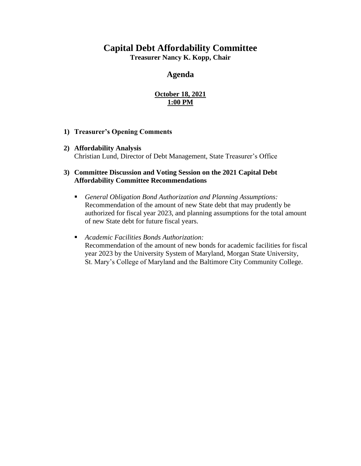#### **Capital Debt Affordability Committee**

**Treasurer Nancy K. Kopp, Chair**

#### **Agenda**

#### **October 18, 2021 1:00 PM**

#### **1) Treasurer's Opening Comments**

**2) Affordability Analysis** Christian Lund, Director of Debt Management, State Treasurer's Office

#### **3) Committee Discussion and Voting Session on the 2021 Capital Debt Affordability Committee Recommendations**

▪ *General Obligation Bond Authorization and Planning Assumptions:* Recommendation of the amount of new State debt that may prudently be authorized for fiscal year 2023, and planning assumptions for the total amount of new State debt for future fiscal years.

#### ▪ *Academic Facilities Bonds Authorization:*

Recommendation of the amount of new bonds for academic facilities for fiscal year 2023 by the University System of Maryland, Morgan State University, St. Mary's College of Maryland and the Baltimore City Community College.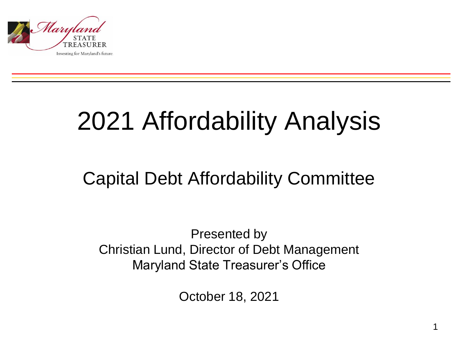

## 2021 Affordability Analysis

### Capital Debt Affordability Committee

Presented by Christian Lund, Director of Debt Management Maryland State Treasurer's Office

October 18, 2021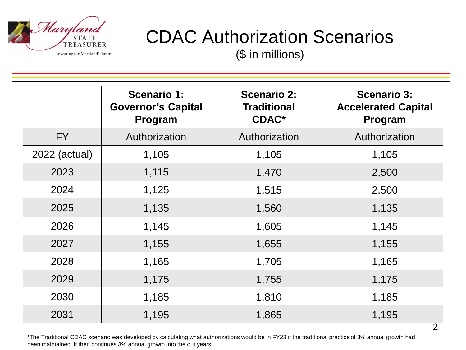

### CDAC Authorization Scenarios

(\$ in millions)

|               | <b>Scenario 1:</b><br><b>Governor's Capital</b><br>Program | <b>Scenario 2:</b><br><b>Traditional</b><br><b>CDAC*</b> | <b>Scenario 3:</b><br><b>Accelerated Capital</b><br>Program |
|---------------|------------------------------------------------------------|----------------------------------------------------------|-------------------------------------------------------------|
| FY            | Authorization                                              | Authorization                                            | Authorization                                               |
| 2022 (actual) | 1,105                                                      | 1,105                                                    | 1,105                                                       |
| 2023          | 1,115                                                      | 1,470                                                    | 2,500                                                       |
| 2024          | 1,125                                                      | 1,515                                                    | 2,500                                                       |
| 2025          | 1,135                                                      | 1,560                                                    | 1,135                                                       |
| 2026          | 1,145                                                      | 1,605                                                    | 1,145                                                       |
| 2027          | 1,155                                                      | 1,655                                                    | 1,155                                                       |
| 2028          | 1,165                                                      | 1,705                                                    | 1,165                                                       |
| 2029          | 1,175                                                      | 1,755                                                    | 1,175                                                       |
| 2030          | 1,185                                                      | 1,810                                                    | 1,185                                                       |
| 2031          | 1,195                                                      | 1,865                                                    | 1,195                                                       |

2

\*The Traditional CDAC scenario was developed by calculating what authorizations would be in FY23 if the traditional practice of 3% annual growth had been maintained. It then continues 3% annual growth into the out years.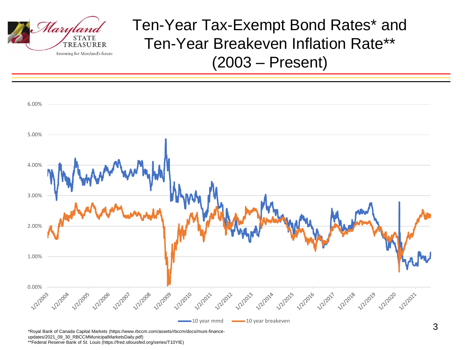

Ten-Year Tax-Exempt Bond Rates\* and Ten-Year Breakeven Inflation Rate\*\* (2003 – Present)



\*\*Federal Reserve Bank of St. Louis (https://fred.stlouisfed.org/series/T10YIE)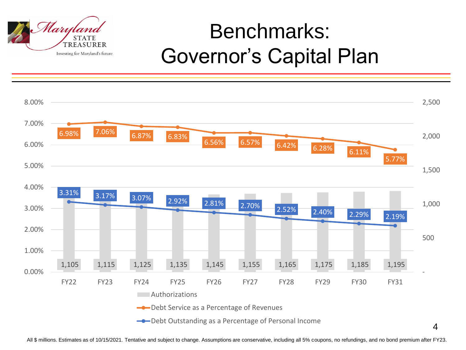

## Benchmarks: Governor's Capital Plan

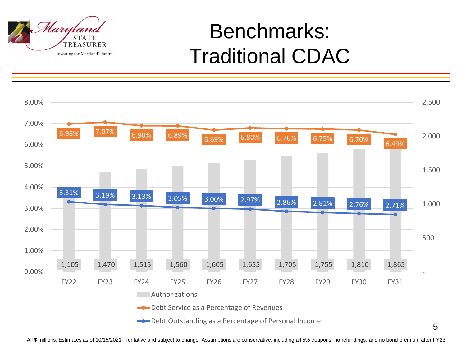

### Benchmarks: Traditional CDAC

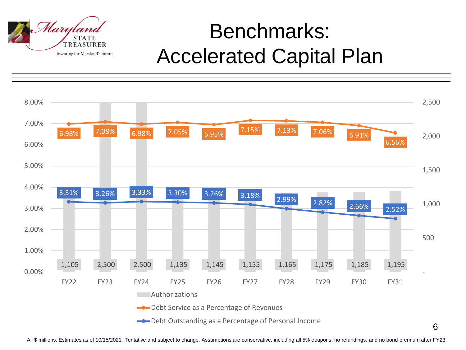

## Benchmarks: Accelerated Capital Plan

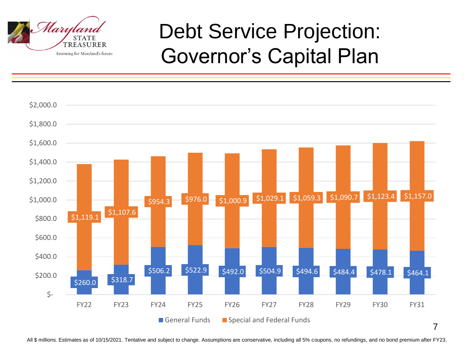

## Debt Service Projection: Governor's Capital Plan

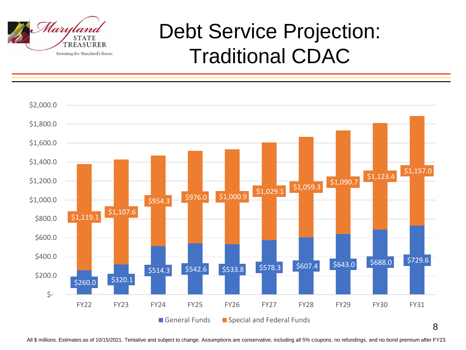![](_page_8_Picture_0.jpeg)

## Debt Service Projection: Traditional CDAC

![](_page_8_Figure_2.jpeg)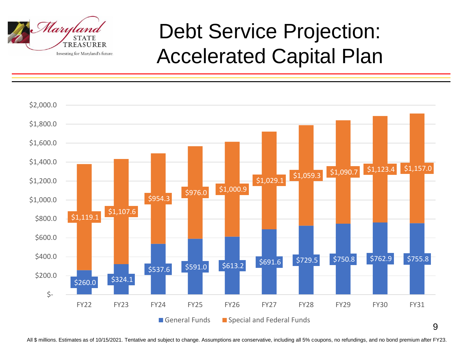![](_page_9_Picture_0.jpeg)

## Debt Service Projection: Accelerated Capital Plan

![](_page_9_Figure_2.jpeg)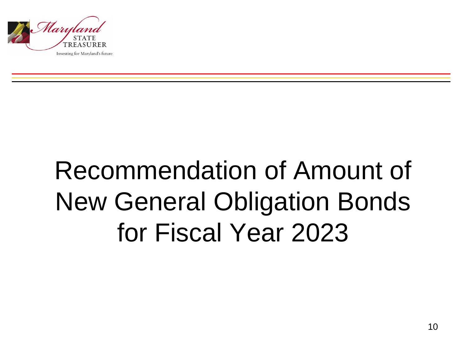![](_page_10_Picture_0.jpeg)

# Recommendation of Amount of New General Obligation Bonds for Fiscal Year 2023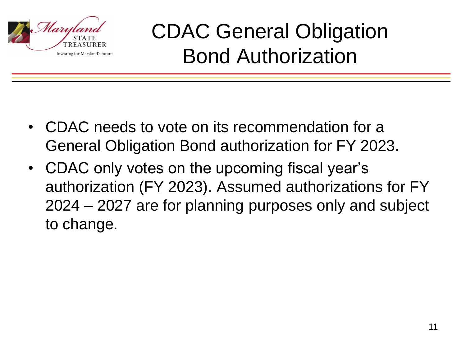![](_page_11_Picture_0.jpeg)

CDAC General Obligation Bond Authorization

- CDAC needs to vote on its recommendation for a General Obligation Bond authorization for FY 2023.
- CDAC only votes on the upcoming fiscal year's authorization (FY 2023). Assumed authorizations for FY 2024 – 2027 are for planning purposes only and subject to change.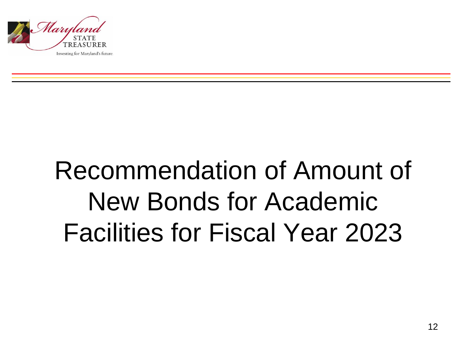![](_page_12_Picture_0.jpeg)

# Recommendation of Amount of New Bonds for Academic Facilities for Fiscal Year 2023